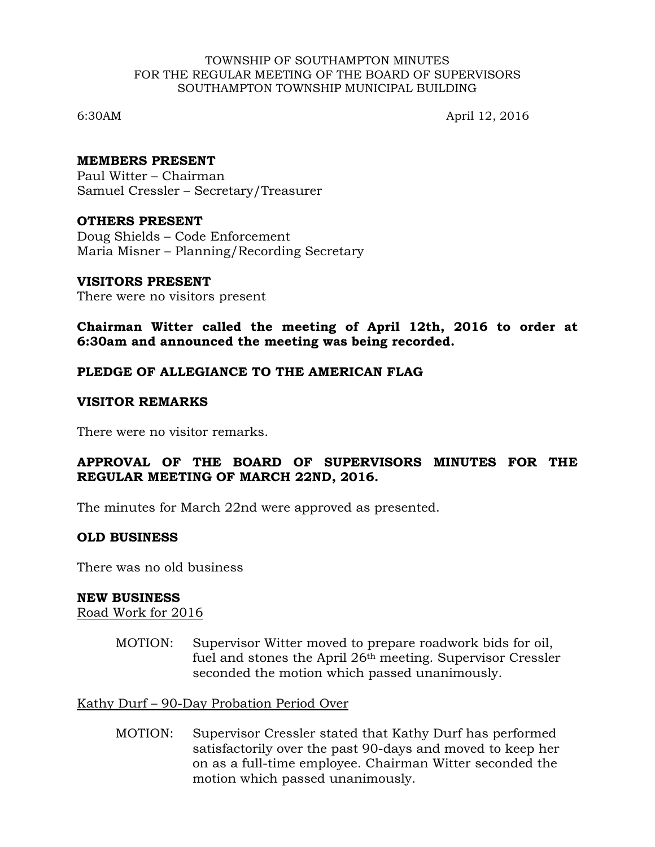#### TOWNSHIP OF SOUTHAMPTON MINUTES FOR THE REGULAR MEETING OF THE BOARD OF SUPERVISORS SOUTHAMPTON TOWNSHIP MUNICIPAL BUILDING

6:30AM April 12, 2016

### **MEMBERS PRESENT**

Paul Witter – Chairman Samuel Cressler – Secretary/Treasurer

## **OTHERS PRESENT**

Doug Shields – Code Enforcement Maria Misner – Planning/Recording Secretary

#### **VISITORS PRESENT**

There were no visitors present

**Chairman Witter called the meeting of April 12th, 2016 to order at 6:30am and announced the meeting was being recorded.**

## **PLEDGE OF ALLEGIANCE TO THE AMERICAN FLAG**

#### **VISITOR REMARKS**

There were no visitor remarks.

## **APPROVAL OF THE BOARD OF SUPERVISORS MINUTES FOR THE REGULAR MEETING OF MARCH 22ND, 2016.**

The minutes for March 22nd were approved as presented.

#### **OLD BUSINESS**

There was no old business

#### **NEW BUSINESS**

Road Work for 2016

MOTION: Supervisor Witter moved to prepare roadwork bids for oil, fuel and stones the April 26th meeting. Supervisor Cressler seconded the motion which passed unanimously.

Kathy Durf – 90-Day Probation Period Over

MOTION: Supervisor Cressler stated that Kathy Durf has performed satisfactorily over the past 90-days and moved to keep her on as a full-time employee. Chairman Witter seconded the motion which passed unanimously.